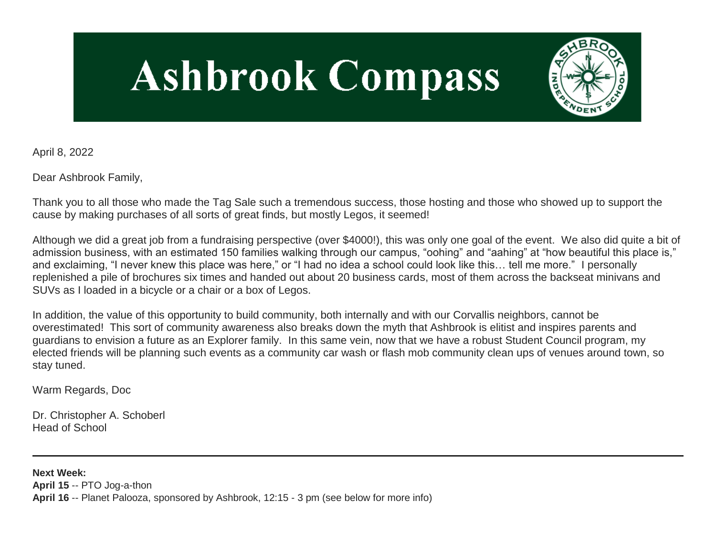# **Ashbrook Compass**



April 8, 2022

Dear Ashbrook Family,

Thank you to all those who made the Tag Sale such a tremendous success, those hosting and those who showed up to support the cause by making purchases of all sorts of great finds, but mostly Legos, it seemed!

Although we did a great job from a fundraising perspective (over \$4000!), this was only one goal of the event. We also did quite a bit of admission business, with an estimated 150 families walking through our campus, "oohing" and "aahing" at "how beautiful this place is," and exclaiming, "I never knew this place was here," or "I had no idea a school could look like this… tell me more." I personally replenished a pile of brochures six times and handed out about 20 business cards, most of them across the backseat minivans and SUVs as I loaded in a bicycle or a chair or a box of Legos.

In addition, the value of this opportunity to build community, both internally and with our Corvallis neighbors, cannot be overestimated! This sort of community awareness also breaks down the myth that Ashbrook is elitist and inspires parents and guardians to envision a future as an Explorer family. In this same vein, now that we have a robust Student Council program, my elected friends will be planning such events as a community car wash or flash mob community clean ups of venues around town, so stay tuned.

Warm Regards, Doc

Dr. Christopher A. Schoberl Head of School

**Next Week: April 15** -- PTO Jog-a-thon **April 16** -- Planet Palooza, sponsored by Ashbrook, 12:15 - 3 pm (see below for more info)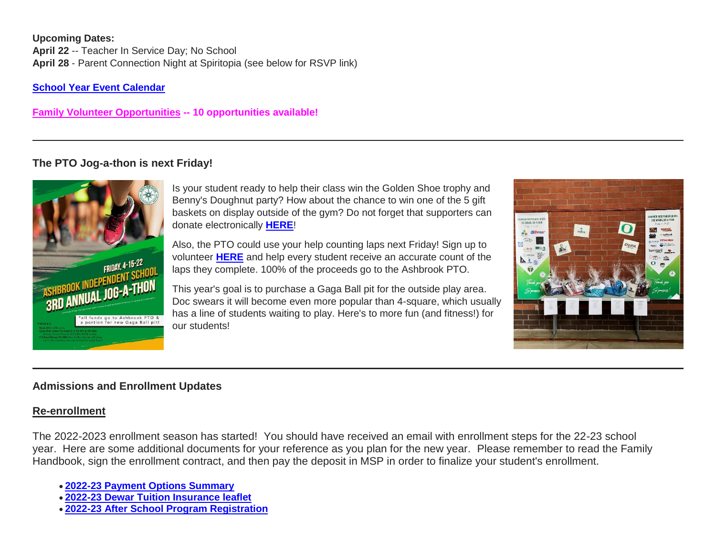#### **Upcoming Dates: April 22** -- Teacher In Service Day; No School **April 28** - Parent Connection Night at Spiritopia (see below for RSVP link)

**[School Year Event Calendar](http://link.mystudentsprogress.com/ls/click?upn=n7jYKe39nC4PrVAw2BzaOolgU5XUleaJ61qfvNJxTW3uoi8RFzNYUfSc1qXdqajA34djZWrxIBJBxzp2whbybvqIYp3dDOkCDgKesziBdCm1u7J5UB6bwQicng-2BhFj8jm5vDG0tBEB0sO-2FO3RXilW8Csk5oOSfGUUXvh5WSdqhvDojIY5znyF-2BOYIJP1WK6Bk4Ia_1PndbFfBoQGSZbxwXHHEexw3B2F0fG-2BUmuXm6a-2BX-2Bzs7knXmgUMj8nOJSugvqG2oYnLqjz5ScUe5TxwE3OqVCAouEaxuYa-2BsseYgNBfrCVp64pWXoKziox5VSP-2FcOkBc3rOAm0OuqnEw4tcuWUDeuiVFhmQYApk3wGs6hbTnyxbh5f-2BbuYLtTEvBOfmIXh-2FVuPwHprMADlBE1NA89st7ESQaVC-2BJh-2BXZdfjk8VogYREedgL9HltnpD-2FgnOqVMPzpeDtgjGFtujh1Nxz7PejzzlUzYjGMg8L9eFX0PXjkVk4Ev7MDZMmS00xSAQVRGbnqYwsXORBJg5-2B-2F4V4wwkS9yd35FcAq9xvf4V8PlnvLl0VZikEUy7BglyxAtU1QzL8ZoF3yIqD02SIQJ3ZV58u5Sz4y1acikzES4wC1NODqZoCVpvdKHiVDHRZZBM7esmd8)**

**[Family Volunteer Opportunities](http://link.mystudentsprogress.com/ls/click?upn=VpBe6Z9t6RkEC4qAoQCerkRqVNRJCi4SE2bZPjoSvlxSlLFpfnUYhuutAutUGnBh84nj-2BJvhJlx1K1dJMDDqBY1qLZ1O0nCcHebienBZj-2BKxsXBin-2FugM50Q-2FqN8cLG3Urd1ZQzGcMWtkFleXRzacA-3D-3DEGZx_1PndbFfBoQGSZbxwXHHEexw3B2F0fG-2BUmuXm6a-2BX-2Bzs7knXmgUMj8nOJSugvqG2oYnLqjz5ScUe5TxwE3OqVCJ2NOP08kYI8Mem29FxivP9e-2FNbP8sWJJlrZyxiXwL-2FsjiQgRFVYdo-2BzNgnjgUy39zVjOgsN7jlM8Hk4FuTB0ZPF8zsiSpgJ4-2BDjieIgW3UqrNORLaXPAeSEYZ3hL1L2juePpg9m01AEFYuvKEdtDRuITEDqtbSz4yayZMrNBSDoacETbAUUTFONALfylVkfIeXn4LzIvzIZ4ICOqpaJXfjWQYNOaBXoLEeYZJ7BzEn9bA6KyI8DA7aEFhmLFEp0GXWJcrZwO9Nj0u50vQ3zQfXxPTy1bHdZ6gSI84ucrSAqRQKJ91lDuK-2B0S5Ue2tnjQPiPpSjA-2BlDaIu-2FU8gVHs0VuO2TsvaOG5zB-2Bv4JaoZgg) -- 10 opportunities available!**

# **The PTO Jog-a-thon is next Friday!**



Is your student ready to help their class win the Golden Shoe trophy and Benny's Doughnut party? How about the chance to win one of the 5 gift baskets on display outside of the gym? Do not forget that supporters can donate electronically **[HERE](http://link.mystudentsprogress.com/ls/click?upn=flJ18ETPhCbNgmfSZO-2FamyLJwnjlQKHONVGQIZoGU0Bi-2BESPZYCKjARlRrzD169uvd4kCyLUXqqqzaNGDu-2BBSw-3D-3D9f7K_1PndbFfBoQGSZbxwXHHEexw3B2F0fG-2BUmuXm6a-2BX-2Bzs7knXmgUMj8nOJSugvqG2oYnLqjz5ScUe5TxwE3OqVCIMB1sVmg1l3NqFYUM25A9PJa-2FVTGiH1h-2FdrEI0na6rcyIyy0hJELRl2dJOAjte43EJ2EBy-2FQWwUE-2B-2FTIfS6A-2B-2FmERISK0GUkYcHjyfAcqsR9XiZgU61VxPyVdKBJgKxwfAYCpSE9Gcjkf1sf0eI2zP3SsfoxWY3iifH6qF10iQqwQXbGRtWdSQh-2BHs2TuIQkRkRZVEe6tatyYGvnvp79-2FXtFRc5bpPcU-2Fk2GqAL3HJWbD8SMweyAzJbCPN3VThNSI-2BKwTN0jHeD2b286y3BrXjzBe1BgJ6lzOwgoWa5g595x-2FYSYQmNsQaGV-2B1-2BxrqtGpH5LkPNmsDrBOm8M4I6afMgNFTynn3gvnB0SR7ltKkR)**!

Also, the PTO could use your help counting laps next Friday! Sign up to volunteer **[HERE](http://link.mystudentsprogress.com/ls/click?upn=n71O4y4PYd0YM2sDUoIvMXVwGW2Y5EdXIwR-2F2E96szuIMgx9p0WmC7hpTmxAfKMl_GOb_1PndbFfBoQGSZbxwXHHEexw3B2F0fG-2BUmuXm6a-2BX-2Bzs7knXmgUMj8nOJSugvqG2oYnLqjz5ScUe5TxwE3OqVCLl4N4AP6OiHkvFchnb93b4WC4l6QS91rWz3bDlYS4UWXGaictJCuKfmEYnpEigoknEfiGV4HXoJICq16MoplppW0MkKiKZpn0JmCsBc8SzYArikIUb-2FmEdSF5Mhj4BpFWWT8kkfeOPQgOaOhDX2TMasElrFgHNBN9G0GC3QPTRoHbXFRoa2G9Hc2EN6gKTqYXw8Bozm28Hl2v0wu0BcNtxMq939BOz5jpi2zGBPUolYYdFc7ql8yeskLzo7nIhCEslORDcAhhw57oqd2YONCSS6JheUAR5RLW4VAB7AqJJSQqJJdXlVInYoXkwpz2-2FlHoTsBInCSGopI50lItBWf9sQTr7gWwQ3-2BED7BcoS1AT7)** and help every student receive an accurate count of the laps they complete. 100% of the proceeds go to the Ashbrook PTO.

This year's goal is to purchase a Gaga Ball pit for the outside play area. Doc swears it will become even more popular than 4-square, which usually has a line of students waiting to play. Here's to more fun (and fitness!) for our students!



# **Admissions and Enrollment Updates**

## **Re-enrollment**

The 2022-2023 enrollment season has started! You should have received an email with enrollment steps for the 22-23 school year. Here are some additional documents for your reference as you plan for the new year. Please remember to read the Family Handbook, sign the enrollment contract, and then pay the deposit in MSP in order to finalize your student's enrollment.

- **[2022-23 Payment Options Summary](http://link.mystudentsprogress.com/ls/click?upn=n7jYKe39nC4PrVAw2BzaOolgU5XUleaJ61qfvNJxTW3uoi8RFzNYUfSc1qXdqajA34djZWrxIBJBxzp2whbybvqIYp3dDOkCDgKesziBdClkeFpPmgMGrgcxNe5TC96odu91tl93IdUb7rzqL2LYFtC2am-2BBIM47dCls51qjeV0-3D4xHR_1PndbFfBoQGSZbxwXHHEexw3B2F0fG-2BUmuXm6a-2BX-2Bzs7knXmgUMj8nOJSugvqG2oYnLqjz5ScUe5TxwE3OqVCDgDcU5o41CbdAu7zE8nQ0Lqg-2Fatb-2BkqUxCgQ4TV2pgPrPhV9tJzia3BdHPeI8IisbiKV-2FypXW6VPDGAvH8w7WB9gIKBaI4Pmr7jvONaOhplNVORlUB7g-2FPjOZJLSSg7xlnAgy7seTrJvLIk593ta3WFRHNh5IrJvZlfOm8kjjSsawsbyQxQA5Wrqsce2X9fwqrX1wteRXW2byzqXPd-2BV4CeHeVGhZKOFK9nOtP9kCuM2lCjAuqoh6KtSgT-2FEWns81maGaRJbB0PXhegjD5sIVKCHvSu5YH6qMDaNWtAEVRDXs08tTBsVzAH759WolqjAP1lZGSPhpXH5MMjQbFCFB-2FsMNcYOiPowBfXyJR7KnkX)**
- **[2022-23 Dewar Tuition Insurance leaflet](http://link.mystudentsprogress.com/ls/click?upn=n7jYKe39nC4PrVAw2BzaOolgU5XUleaJ61qfvNJxTW3uoi8RFzNYUfSc1qXdqajA34djZWrxIBJBxzp2whbybvqIYp3dDOkCDgKesziBdCmKv7ixhdviv-2FmwC44NqeRkEpR0EqlRFDbLPP4oUBY3JgS-2BxTIUAg9pOXjNuHrG2gHW4aOlWy1OxP4JzdIN-2FgxfT1Os_1PndbFfBoQGSZbxwXHHEexw3B2F0fG-2BUmuXm6a-2BX-2Bzs7knXmgUMj8nOJSugvqG2oYnLqjz5ScUe5TxwE3OqVCJ3CWC9gov6jJB1eK76XrsRy2Cx21Y83HqjruB8w2zJ-2BYf7E86nbxlGuRQUfMlZFjntAEAfzkzQeiaJWS-2BJj-2Bp8p3HgrmMKcxUkC-2FRDLA5I95YBKB36JJiDiQtGeUaYJ6DaQ-2Bf0fgHyhuJiyLTZoDJuoeUs0V3LSRCUSGO0OnllVoHSZh3aIZEIBfHtLaQw0WdHkKME8CsQC-2FFxsEIuSBQd0lZzMirTWD3jAgL9ZtgMp1Brp4LqQ7TaQXjqTkvgtyPAPL8l4oEzuKJWLj7CApRRyzlVIh0gkJNtle497QI4toHo2H8PAgSQa-2BM5tRfu28f7ss-2BI97UEVOys1k0frJF5Ql8PkBj1jdKQTvMBJ2Flo)**
- **[2022-23 After School Program Registration](http://link.mystudentsprogress.com/ls/click?upn=n7jYKe39nC4PrVAw2BzaOolgU5XUleaJ61qfvNJxTW3uoi8RFzNYUfSc1qXdqajA34djZWrxIBJBxzp2whbybvqIYp3dDOkCDgKesziBdCk2zoL69EF1elapRVEFs9mzF3f9wmKGKZgVh2d6-2F4A-2BgVLXq8Q8Acmh7jJG-2BzjCzXs-3Dekpd_1PndbFfBoQGSZbxwXHHEexw3B2F0fG-2BUmuXm6a-2BX-2Bzs7knXmgUMj8nOJSugvqG2oYnLqjz5ScUe5TxwE3OqVCC-2BrQChvBLpKUh9PCCOgjhtsLruQVwrSfjXWxjlfpl4kzSHSxaroOH6g-2FmkPYBt2GFeMo9P-2BE0PxtCP5Lxc0kvViil7xIFz459x8B8TP-2F6LsB-2FifixwZWJEjZfdIHwP1hUdzrOYPtj5g2UoLXY8N24eA1l0UZN-2Bh-2BveQssgNDsW-2FhiDlvDeCYDWRWa2k6qsws1aPlanvWw-2BhkyFmNRTmFN0CYiUWY38ZYSOx-2FqxejhsVOcQi0IbH3sWP9BZQUFsCVKxo7-2FIAszWh6c8-2B2yiVaBmfhNzkzcqofKjo7hWAjD4-2FyJ49XRc-2BtllDwWc3ncPsZjUYfOdbo0JNVe3Pt-2FVPXNLvwYc-2BdzBC6vudPbFWT25u)**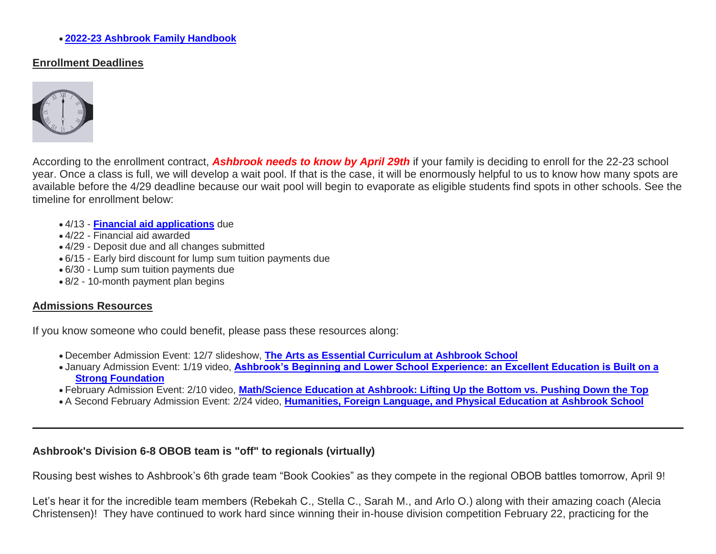#### **[2022-23 Ashbrook Family Handbook](http://link.mystudentsprogress.com/ls/click?upn=n7jYKe39nC4PrVAw2BzaOolgU5XUleaJ61qfvNJxTW3uoi8RFzNYUfSc1qXdqajA34djZWrxIBJBxzp2whbybvqIYp3dDOkCDgKesziBdCm10y3DaewIztvYnTmbtKZrSM7zgMXMbd3vUX54N4ULGmQauK03d1W1q-2BxdA-2FDSbp8-3Dg-9Y_1PndbFfBoQGSZbxwXHHEexw3B2F0fG-2BUmuXm6a-2BX-2Bzs7knXmgUMj8nOJSugvqG2oYnLqjz5ScUe5TxwE3OqVCMPzc-2B0obLndDKYDiATM0KF4-2FcRddnaBE9Wdw2RE9g8P-2BqOkN0PWQGdnf3sSbT19ZDt2I-2FEf7Q5MHKTrey-2Bz120liv0YjB4gVAZXPc8sIE8PXOKfLTvTwenKSgF9VxizMoB-2BpkmQGgi4HFlD6HFugpdVwoBpIyTEbi7RTTpHxnf7qosS6-2B514lwRpX3f1cfsYZJv6QA6KcgpzfqkGtAGe6NAABGYm2SoQot8I2q7w00yZrxdJcqybwhrfv4XqE57XX83T2aHebFO3S0SzGvKWE6cx-2FhBv1KsFvfGoe1yQGeddkfaGcqNZGXj134JI81BdZCd7uxknAn59-2B2wLDRcWPC98Eyfcby-2Bpw8s-2FrkIRIMG)**

#### **Enrollment Deadlines**



According to the enrollment contract, *Ashbrook needs to know by April 29th* if your family is deciding to enroll for the 22-23 school year. Once a class is full, we will develop a wait pool. If that is the case, it will be enormously helpful to us to know how many spots are available before the 4/29 deadline because our wait pool will begin to evaporate as eligible students find spots in other schools. See the timeline for enrollment below:

- 4/13 **[Financial aid applications](http://link.mystudentsprogress.com/ls/click?upn=9NFJldv80hP-2FMIbgvz91YTw-2FPeGAX3zaZ-2B6BOjUQoz1zpnNqwRVnkmgZdHIWb6xcclRb_1PndbFfBoQGSZbxwXHHEexw3B2F0fG-2BUmuXm6a-2BX-2Bzs7knXmgUMj8nOJSugvqG2oYnLqjz5ScUe5TxwE3OqVCJG-2F-2Fef4a7YUOC-2FJraGdqabPCep9pDF-2FH9anMxUuKYFhsGbGXEUx-2Bej4ugVbr8kIWnkG-2FCHLc0dWBdFBPRh0T4cVw0csNLSBxU1BXwor5lHAtnQMC6-2B2sBrYowLEJKW11OVyRWqdZ3pcNN8xFiv-2FZ3SlKoqyWjS7iMpeq1oR5xMbHXHhk6e-2BoQY5vrxS-2F7PW8paOQw4hhan2KK2QGFQc5g7-2Fd4hfovGUSoOFNbjG-2FZP4AnXyQVilwk4Mlr9p78X1dlM3Ac80PT-2BZDeabD0D-2BDa-2FlNkZdgKWy01GXlpnlu7qheWOA-2BEcLuQv2Fq8p5-2Fb3-2FaWrkug8uY3I9WSW9freZzMzMbConh7yRy3LYrFYLZQ-2F)** due
- 4/22 Financial aid awarded
- 4/29 Deposit due and all changes submitted
- 6/15 Early bird discount for lump sum tuition payments due
- 6/30 Lump sum tuition payments due
- 8/2 10-month payment plan begins

#### **Admissions Resources**

If you know someone who could benefit, please pass these resources along:

- December Admission Event: 12/7 slideshow, **[The Arts as Essential Curriculum at Ashbrook School](http://link.mystudentsprogress.com/ls/click?upn=VpBe6Z9t6RkEC4qAoQCertKzhjEDinKc0CfI3IvbCQdAUGivbUo1ZPD28lUVkIpyGu-2F3iyG4XxBZqKyx0zVEQbqdNmInL0lGt-2FSwwTpFjpXb1cd7PE4kL-2F96nplm-2FTn3lQJQ_1PndbFfBoQGSZbxwXHHEexw3B2F0fG-2BUmuXm6a-2BX-2Bzs7knXmgUMj8nOJSugvqG2oYnLqjz5ScUe5TxwE3OqVCI5-2FLqaHOCVZhlxAGooN-2F6t0tuj1he66FOEL2-2BLDDagUPCAPr650K5fQc3ImEWc6QCEYMTPRbIgq1K-2FoRFNGOaqAu4UMn5yryq9XWwwEok-2Bg1vF42ebV2n2J09kY2VYaIGxIvwTHrvxtIA7BXzp0FcPoEI1-2B4bh74dPbfYjXmfUwu1aATESf4HsdNNXslDuT8bl5R5y8Lod4rpdc-2FXrss34V0IOmBU7wK4k8hqq9RZ4QAZ0zdBMqG5GPfhB8RdYj908f6fDtynnL0wk7IAZRansa0CQRMgtZDbBz-2FJBJOG9ED7J5WBBHiTBsjfA1Sdl4ghBSL0PjIIjZxGYPrsDWUK4QriG54vEEOlKgbwmDOo7x)**
- January Admission Event: 1/19 video, **[Ashbrook's Beginning and Lower School Experience: an Excellent Education is Built on a](http://link.mystudentsprogress.com/ls/click?upn=VpBe6Z9t6RkEC4qAoQCertKzhjEDinKc0CfI3IvbCQcj-2FMXFM42TVH6rCD0ujHzqWqw-2BuBJp3PwgDrJbc3MENop-2F4KTzDhISrUM0n5UnrJQ-2Fe1MM7jG-2BVXvLYzStIms8wom3_1PndbFfBoQGSZbxwXHHEexw3B2F0fG-2BUmuXm6a-2BX-2Bzs7knXmgUMj8nOJSugvqG2oYnLqjz5ScUe5TxwE3OqVCPNawJDDqUz-2Fqj4L1eYsB3WVrO7uB-2B1du6Y5e19r8mLo4j9ESePZP0ODl7OSbdwhmzJESMz0AtCkXxEfKby27pPOg-2Bv-2BFcuFP9eeOnq9HfmNE3g0RaAtzDtkIxEMZFlp3daeWs5Lidi5Dj2yEkYXSaq0gcqdLZDa3U90IiZjgOwAOgyi1o0y2d5zpogD0TH9Htl-2BV3vy9O9Y7R0mjIi7QSM2vVEc3lmmDCxrEyPFCiDAChT5PPJiYXaEVypch1CkvN5nEjU8TNkaRCNiu9dJbbyOF2ALiInEzyvoldSfVv5fbHwxXrcbgRbB8gU6QRuzTFnh47-2B4fdRqSFJz39zMrLXpbcWJzMzkxlrPYlkiFGd6)  [Strong Foundation](http://link.mystudentsprogress.com/ls/click?upn=VpBe6Z9t6RkEC4qAoQCertKzhjEDinKc0CfI3IvbCQcj-2FMXFM42TVH6rCD0ujHzqWqw-2BuBJp3PwgDrJbc3MENop-2F4KTzDhISrUM0n5UnrJQ-2Fe1MM7jG-2BVXvLYzStIms8wom3_1PndbFfBoQGSZbxwXHHEexw3B2F0fG-2BUmuXm6a-2BX-2Bzs7knXmgUMj8nOJSugvqG2oYnLqjz5ScUe5TxwE3OqVCPNawJDDqUz-2Fqj4L1eYsB3WVrO7uB-2B1du6Y5e19r8mLo4j9ESePZP0ODl7OSbdwhmzJESMz0AtCkXxEfKby27pPOg-2Bv-2BFcuFP9eeOnq9HfmNE3g0RaAtzDtkIxEMZFlp3daeWs5Lidi5Dj2yEkYXSaq0gcqdLZDa3U90IiZjgOwAOgyi1o0y2d5zpogD0TH9Htl-2BV3vy9O9Y7R0mjIi7QSM2vVEc3lmmDCxrEyPFCiDAChT5PPJiYXaEVypch1CkvN5nEjU8TNkaRCNiu9dJbbyOF2ALiInEzyvoldSfVv5fbHwxXrcbgRbB8gU6QRuzTFnh47-2B4fdRqSFJz39zMrLXpbcWJzMzkxlrPYlkiFGd6)**
- February Admission Event: 2/10 video, **[Math/Science Education at Ashbrook: Lifting Up the Bottom vs. Pushing Down the Top](http://link.mystudentsprogress.com/ls/click?upn=VpBe6Z9t6RkEC4qAoQCertKzhjEDinKc0CfI3IvbCQcWMZhEmzIOaoE1rrVAI5L8ZO7XS8Tv5hSiIMalu6EJjCDUJP7moAVnS2AEJdBcw2I-3DxXeq_1PndbFfBoQGSZbxwXHHEexw3B2F0fG-2BUmuXm6a-2BX-2Bzs7knXmgUMj8nOJSugvqG2oYnLqjz5ScUe5TxwE3OqVCE0tZeQATGyEuBh9VV-2FvsHYM-2FL696VDm1fIo5tLeFZJb-2Bwk-2FFImmSPZ4UPw4AFN-2FpOZ1Dg2Fp2itN2Qz3wj1qWyxWU4IxbjF6-2Bi4QgbFztOaaMSSO6Alc5fvFXAZTO8VZKx7NLIw60QrCxj-2B8w2kwuByFYm7W2bT6V2CpQzJytGwocZU1-2FGw44myz9W2dMHV766yEXnjWrtisFn3DdVcLeh5Hv7gNn-2BFi2ILm6Z0AszK624OP6vyH5XkBlFZUcQ9NkXO9jO3nm-2B5mzriC-2ByYLmPKAPCNIa8GAHf0z8y0ZkbifJoSybZPEOQ8O6bH5wVkK4yXIe9nq0CqGzJE3yXtvD3RZOxFOpxkAridxhdYP4Qd)**
- A Second February Admission Event: 2/24 video, **[Humanities, Foreign Language, and Physical Education at Ashbrook School](http://link.mystudentsprogress.com/ls/click?upn=VpBe6Z9t6RkEC4qAoQCertKzhjEDinKc0CfI3IvbCQdVZVTEFOlGsKYGq77MfEdURJQ6o-2BD42HfofdXXBWp4osH367C5cJyuKmzLhDFL5tL7ffHADe0ya5yyn-2BNlingbuR10_1PndbFfBoQGSZbxwXHHEexw3B2F0fG-2BUmuXm6a-2BX-2Bzs7knXmgUMj8nOJSugvqG2oYnLqjz5ScUe5TxwE3OqVCFStI2xwxhG7Ei4Aq9-2BXIys-2BVd8HK1GaTQJca5qgkMtHnDRMru4lLqFiohWIcCz126mc61IvGQ9leNWQbzqGtnQOF5QC1Yb80BfYx7bCCOBMZ9m3AKIu9zV6royqCSNElQXor2PGaAGKtbkNTJPsfJ15xq0xV-2BkCdsrijxuQP3xW42Ja59wZKphy3BPy6MYcupkvYmgHInqGgHJDvxMmAe-2FdIih4dV2efojedyhz9gMD3tJCJtRn-2FTkFTSIaN3aoTI2-2B7ZtaFd4jQ2NFZyS6U0PCq6dr1YQ9PaDKJlgb6BQ2SDZrXhWa-2BC4pGeOfUMRFXXP29hM3VbP9ilQQGooMW6iCC-2Fh29Um7tNJ9vRQXpS5k)**

## **Ashbrook's Division 6-8 OBOB team is "off" to regionals (virtually)**

Rousing best wishes to Ashbrook's 6th grade team "Book Cookies" as they compete in the regional OBOB battles tomorrow, April 9!

Let's hear it for the incredible team members (Rebekah C., Stella C., Sarah M., and Arlo O.) along with their amazing coach (Alecia Christensen)! They have continued to work hard since winning their in-house division competition February 22, practicing for the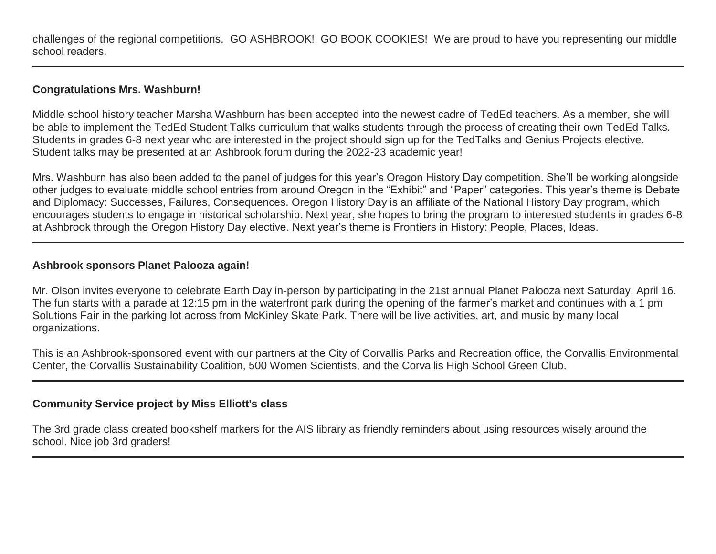challenges of the regional competitions. GO ASHBROOK! GO BOOK COOKIES! We are proud to have you representing our middle school readers.

#### **Congratulations Mrs. Washburn!**

Middle school history teacher Marsha Washburn has been accepted into the newest cadre of TedEd teachers. As a member, she will be able to implement the TedEd Student Talks curriculum that walks students through the process of creating their own TedEd Talks. Students in grades 6-8 next year who are interested in the project should sign up for the TedTalks and Genius Projects elective. Student talks may be presented at an Ashbrook forum during the 2022-23 academic year!

Mrs. Washburn has also been added to the panel of judges for this year's Oregon History Day competition. She'll be working alongside other judges to evaluate middle school entries from around Oregon in the "Exhibit" and "Paper" categories. This year's theme is Debate and Diplomacy: Successes, Failures, Consequences. Oregon History Day is an affiliate of the National History Day program, which encourages students to engage in historical scholarship. Next year, she hopes to bring the program to interested students in grades 6-8 at Ashbrook through the Oregon History Day elective. Next year's theme is Frontiers in History: People, Places, Ideas.

## **Ashbrook sponsors Planet Palooza again!**

Mr. Olson invites everyone to celebrate Earth Day in-person by participating in the 21st annual Planet Palooza next Saturday, April 16. The fun starts with a parade at 12:15 pm in the waterfront park during the opening of the farmer's market and continues with a 1 pm Solutions Fair in the parking lot across from McKinley Skate Park. There will be live activities, art, and music by many local organizations.

This is an Ashbrook-sponsored event with our partners at the City of Corvallis Parks and Recreation office, the Corvallis Environmental Center, the Corvallis Sustainability Coalition, 500 Women Scientists, and the Corvallis High School Green Club.

## **Community Service project by Miss Elliott's class**

The 3rd grade class created bookshelf markers for the AIS library as friendly reminders about using resources wisely around the school. Nice job 3rd graders!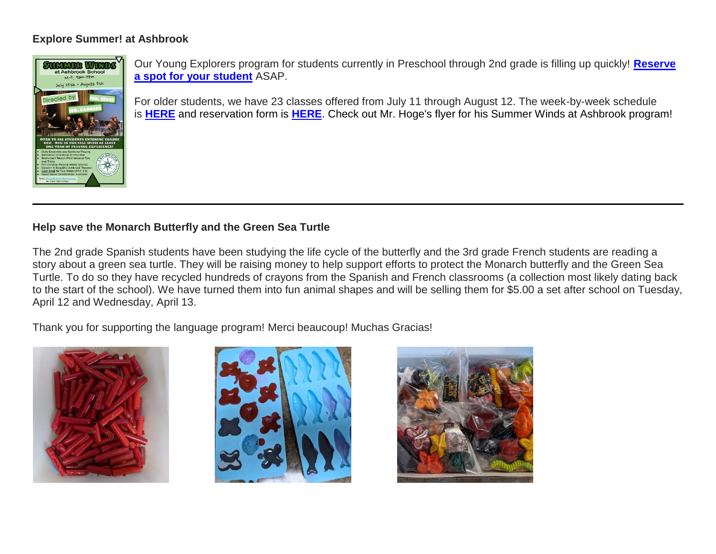## **Explore Summer! at Ashbrook**



Our Young Explorers program for students currently in Preschool through 2nd grade is filling up quickly! **[Reserve](http://link.mystudentsprogress.com/ls/click?upn=XkPBlp9GNU3xVxREosAX9ZloBmuSz7rYauHLv2bAezXJatPawtKENVoaHu28nHndb2zp_1PndbFfBoQGSZbxwXHHEexw3B2F0fG-2BUmuXm6a-2BX-2Bzs7knXmgUMj8nOJSugvqG2oYnLqjz5ScUe5TxwE3OqVCFxbx55uVSNS74vl87V6VchbgiW8epWNmzezybjr2Vsygbi6uhjbLV2nCnPhi2pwjWXglmxmxGs2N0xrvShDIQyWV-2Fz4rR-2Fsvx50g5Xr7xzis0XwX0Cgr6J1z6D64Z036lZLvWqwT-2B-2BNrRZhYgRS-2Br-2BbJTiyCFYqrXa-2B6UqKzt1fxP6noiWcNzWVUs4IHMgVzgfOG9cKpM-2BEtxp8DCrexbO5p7-2FKlUnECth35IiAdbs-2FoW8Bd31RQDegYOZnhOZyyYpgG6gRJmHiXj7lKdWWmRyF3GtTv-2F-2BjDvT8d5V0aktSlqkoCIxt-2FyiSrblhKxpih4EAVFTTIUc2JFVYGgYKK7KK-2FRKniltalaOwJU413jKU)  [a spot for your student](http://link.mystudentsprogress.com/ls/click?upn=XkPBlp9GNU3xVxREosAX9ZloBmuSz7rYauHLv2bAezXJatPawtKENVoaHu28nHndb2zp_1PndbFfBoQGSZbxwXHHEexw3B2F0fG-2BUmuXm6a-2BX-2Bzs7knXmgUMj8nOJSugvqG2oYnLqjz5ScUe5TxwE3OqVCFxbx55uVSNS74vl87V6VchbgiW8epWNmzezybjr2Vsygbi6uhjbLV2nCnPhi2pwjWXglmxmxGs2N0xrvShDIQyWV-2Fz4rR-2Fsvx50g5Xr7xzis0XwX0Cgr6J1z6D64Z036lZLvWqwT-2B-2BNrRZhYgRS-2Br-2BbJTiyCFYqrXa-2B6UqKzt1fxP6noiWcNzWVUs4IHMgVzgfOG9cKpM-2BEtxp8DCrexbO5p7-2FKlUnECth35IiAdbs-2FoW8Bd31RQDegYOZnhOZyyYpgG6gRJmHiXj7lKdWWmRyF3GtTv-2F-2BjDvT8d5V0aktSlqkoCIxt-2FyiSrblhKxpih4EAVFTTIUc2JFVYGgYKK7KK-2FRKniltalaOwJU413jKU)** ASAP.

For older students, we have 23 classes offered from July 11 through August 12. The week-by-week schedule is **[HERE](http://link.mystudentsprogress.com/ls/click?upn=5XDbAd9r0ovG7GZusFBG8PaUF78UqItDelTGdwk7Y5Z6snw4T29-2Bxfvechik02zNNjHskFAbqBwE5Be3mTfInPLSoC-2BecC4phoAA3XU5fdU-3D8EmU_1PndbFfBoQGSZbxwXHHEexw3B2F0fG-2BUmuXm6a-2BX-2Bzs7knXmgUMj8nOJSugvqG2oYnLqjz5ScUe5TxwE3OqVCKOkaB18ufz0yIP5utEmUIsSxlWz86v5LcYeQT-2B-2FjSZp4jFCiSScR3pjFWCcD3YF7vWgiH4mzXqpii2J-2B-2FdB-2FJaWM74Ws-2FhZfqVd1wR1-2Bg4QJuKZ1akOC033bnY15i8oFpuyxLpq8NU54IejPYo-2ByaBul-2F7n2T2pi8NZpCkr3fWoFM2afwHv4mT4hCf1fE7t85fpbthJ7lQlEWboQRMNMJ-2F9Oz5ioCuyuUm2lMjyiT9-2BPYh4BpsKTNwKfzQbfAaKHqy6gtwqbPNGg01kvA9t6LVR4Te4hPD0ZQAp1lvos11OnHvHBFdWb0BfELv8p0j7fiDeYpHM4fRLk-2BPbtu6nZsrezGb2I03kxmOYMI29dwWG)** and reservation form is **[HERE](http://link.mystudentsprogress.com/ls/click?upn=XkPBlp9GNU3xVxREosAX9dladwQASOh5udy7m-2FJLcqEsmMBjqEfnwC5eYHIt7vuGP6XQ_1PndbFfBoQGSZbxwXHHEexw3B2F0fG-2BUmuXm6a-2BX-2Bzs7knXmgUMj8nOJSugvqG2oYnLqjz5ScUe5TxwE3OqVCPpumJ53E3zqF9HBu71es5XDwjBJiTiLtgb7tYs-2BP5Lk7Bd2IAPB02kHJf-2FBb2STTJSkn3j5U4NrXnPlRhSxCoR6c6Vri4x9fJ2Qy5I-2BbGw9rrqyyP7YKYByt9GdTpWoYybZoDDtgKOCo-2Fm-2B6dPwu5VWsnNSp577J0zrO9uNUoA-2BxOFmc5kD2bVaPllJxdFSbeA15ROzpUFCQe00eK1nHWEnL5Sw9aKerZ4yJ5y8DN2I1Qql-2Fo2HMC1OoBvwrS8qlo-2FKscABwgHhpSbtbN9Fcl1zKiIn1fxmOis2B3AZCbPMJu2QHJr2yc4JyT-2BOnJ0zMlExXZlFG-2FN9xPJgn5z9PshI8Qq2Ud1XXevmfQoci2Vz)**. Check out Mr. Hoge's flyer for his Summer Winds at Ashbrook program!

# **Help save the Monarch Butterfly and the Green Sea Turtle**

The 2nd grade Spanish students have been studying the life cycle of the butterfly and the 3rd grade French students are reading a story about a green sea turtle. They will be raising money to help support efforts to protect the Monarch butterfly and the Green Sea Turtle. To do so they have recycled hundreds of crayons from the Spanish and French classrooms (a collection most likely dating back to the start of the school). We have turned them into fun animal shapes and will be selling them for \$5.00 a set after school on Tuesday, April 12 and Wednesday, April 13.

Thank you for supporting the language program! Merci beaucoup! Muchas Gracias!





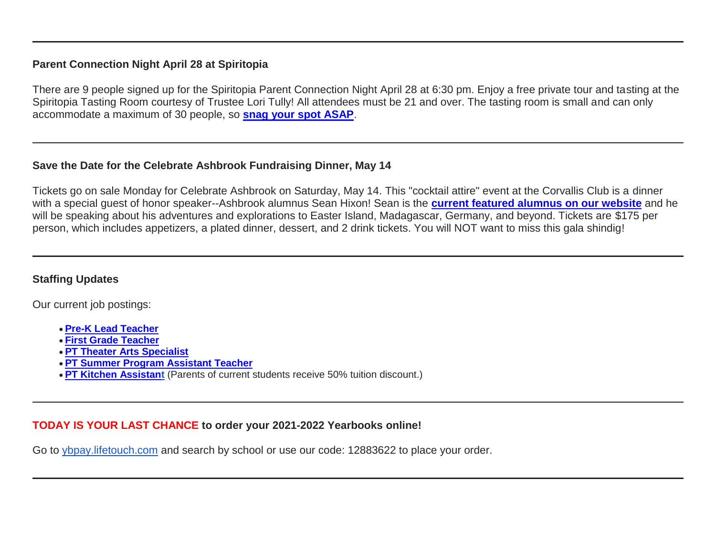## **Parent Connection Night April 28 at Spiritopia**

There are 9 people signed up for the Spiritopia Parent Connection Night April 28 at 6:30 pm. Enjoy a free private tour and tasting at the Spiritopia Tasting Room courtesy of Trustee Lori Tully! All attendees must be 21 and over. The tasting room is small and can only accommodate a maximum of 30 people, so **[snag your spot ASAP](http://link.mystudentsprogress.com/ls/click?upn=XkPBlp9GNU3xVxREosAX9RZAVhyPUO6e5P4-2FgMDjfRMzPbM0eUGyroihoXApkr0GRqrK_1PndbFfBoQGSZbxwXHHEexw3B2F0fG-2BUmuXm6a-2BX-2Bzs7knXmgUMj8nOJSugvqG2oYnLqjz5ScUe5TxwE3OqVCEfNyxRZR5mKiylqz0sTqc8d2r9YVvNvzIS0ns1Vc-2FGbrKdD5lYcg7EiTUB40len0QdNsJRgdpW4cH9fZ34ubMMvn7Z1OU8jnPj52vzbVHaoofWxxVy5tzgQfKFBVvJzpebpi6IeNG8gsQG7xXB1YaEf-2Fk9VSWySdn7tsbrN79TgtGjCJyIErT6zAAO2ZvyPtokf-2FhVeugHehZTsXEMgrXI2DJC30QvRqAM6vn3o6ek823uJQU3azlnzq1jCn7-2B4HYwAH1fZLb4VeDUg694mO8og4TobJE0rCmezrr-2BW2Qwz4W8M5NGBI91oiyTJLM91D6LEzyWwPZOGvAGPwoRP7wd-2FDYE4AP4GaECmsxlExm-2FW)**.

#### **Save the Date for the Celebrate Ashbrook Fundraising Dinner, May 14**

Tickets go on sale Monday for Celebrate Ashbrook on Saturday, May 14. This "cocktail attire" event at the Corvallis Club is a dinner with a special guest of honor speaker--Ashbrook alumnus Sean Hixon! Sean is the **[current featured alumnus on our website](http://link.mystudentsprogress.com/ls/click?upn=5XDbAd9r0ovG7GZusFBG8PaUF78UqItDelTGdwk7Y5YVHPL1lqCP2oHiaZtUu1dlqMPA_1PndbFfBoQGSZbxwXHHEexw3B2F0fG-2BUmuXm6a-2BX-2Bzs7knXmgUMj8nOJSugvqG2oYnLqjz5ScUe5TxwE3OqVCLVNwwp-2BCTi-2FG1heSEU77y2IoefMtTvYBTMK65VOyGT6vgsWGSyTajOMZ9JAq4mKt87hHbGvKemS58ZI15jYW2G0RwTvarl7vXLrZGsFHmIQY8uauqgsRGLpXr-2FnjoXIDnsG0pQFfeYECBhK04sWkHbhHeRxYMAZJ2bsxLzU9I441whUHoVbtZn9kGwjx4qNmdXbHLiSYwqxJMRWtpvGxZ-2BQu8aNzwlVYLcejvepMoquEEQ7h1Hz37XDA3sPeNKoRklj1bPVx-2B1ze-2B6qQpO128LcBJMyRv2E4PwjzvDoLzX7J2n9-2BQeFyzsPOgXtUyBEq3o3va2vD6QHv4EuTuQh8-2BRJJcmH-2B9uIPnJDDs-2B-2FSsLu)** and he will be speaking about his adventures and explorations to Easter Island, Madagascar, Germany, and beyond. Tickets are \$175 per person, which includes appetizers, a plated dinner, dessert, and 2 drink tickets. You will NOT want to miss this gala shindig!

## **Staffing Updates**

Our current job postings:

- **[Pre-K Lead Teacher](http://link.mystudentsprogress.com/ls/click?upn=flJ18ETPhCbNgmfSZO-2FamzYtOTBVcI9OPqDnIkqnt5Qmq6a4rOASMgt1ALGncL3o-2BSfhJOlVpRRYdjXDDaDjUQ-3D-3DO--k_1PndbFfBoQGSZbxwXHHEexw3B2F0fG-2BUmuXm6a-2BX-2Bzs7knXmgUMj8nOJSugvqG2oYnLqjz5ScUe5TxwE3OqVCPHO18sis3emHawEtbNixWH5-2Ff0X1Q57pYuqB-2F3GBDlQ6q0kQUSMF9Oba5nGEOLmN4Jl0VDLmnzaQxXTki8YkC1mgq8hP5jage8-2BubHbwsl2jU-2FE09Xl-2BKerIchgEWSIazzv1d12qU7Cc-2FKHVLow3DXZvxYM-2BGPO2pbgvJVlMoAz5Jg7izdMkKNUXgr3PzStFfEad7IKtZXx61OATAaZs3xnKIHMaETMaAmcGVozuQ6jcw7rUOpx5hEuzM4WzJD8HhyVfK4gsQ6SRuD6dI6-2BzKfqIGRxjNuNQccfjy0n0l7-2FUg8kaOARS-2BRgfrUuqGDPon9boWreGrSVy1SNiWtZZCgPeKi3Q53oHM3eSkBacY2u)**
- **First Grade [Teacher](http://link.mystudentsprogress.com/ls/click?upn=flJ18ETPhCbNgmfSZO-2FamzYtOTBVcI9OPqDnIkqnt5Qmq6a4rOASMgt1ALGncL3otbxa1MDLbNrQl3ChqJI2RQ-3D-3D0sow_1PndbFfBoQGSZbxwXHHEexw3B2F0fG-2BUmuXm6a-2BX-2Bzs7knXmgUMj8nOJSugvqG2oYnLqjz5ScUe5TxwE3OqVCBMM7bBmGyn7JOW7d37KIEgROSAdoMnjJmKM-2FmsqYjPyu07RkNoN1dqtfPKxu5sfA5tvkD9paSp9xyNjCtVUBLl67uo3OpoXIECLTkFB40M1W8iuUxngF1P4JVAKsVZggxQSZPalFbPW-2F-2FMt1Q-2FBlVnfpcOzgrEEbJyjAP8IHWaGBXy7C3eSg9FECD52SEEAdcvimsy54bL6oSvcW98b-2FWTHijbfGOc88U9USHxsxB45kmf-2FBu-2F7MOlBXq2dnNoriEe-2BTbJePtisF7v2-2B1m7-2FKU0NGZil1lFhgSvsGQg9t-2F41mAj1QU2gwzS1lyXvpLDfc15nXWnthZaiw7N6Lk0rNskdjSI-2FUSTnRLidry-2Fw7eH)**
- **[PT Theater](http://link.mystudentsprogress.com/ls/click?upn=flJ18ETPhCbNgmfSZO-2FamzYtOTBVcI9OPqDnIkqnt5Qmq6a4rOASMgt1ALGncL3oz7LQmF5oMWSMYrnzALmVXg-3D-3DBVEy_1PndbFfBoQGSZbxwXHHEexw3B2F0fG-2BUmuXm6a-2BX-2Bzs7knXmgUMj8nOJSugvqG2oYnLqjz5ScUe5TxwE3OqVCF5UrFtMJioIrBcKIN-2F78gMdig4yRVKWgS2M8ZT4-2FL1mZXLMZ4OfnDkk5IzJ2K58YFukkcq8gr4Qi1nHlYvSZeexSzDF6kAZFJraT9-2FLIlqU6EV38a0jhegkmzG5YRl-2FDvynLaHTaT0i9U97wtfzF5-2FEYQgdVsBVNCCJXfhZi0c9ibuazqOsl017KSuj5krQn37QT-2FTDPly3oS4VSMXBjJit8YdcHAS7VPjhxANG4hjJUxMBUnfVVsCRhfMa48ykL-2BHwqdsWUHPuhR3f3khGv4rovd4Qk9ceek1w9SCNps8qx95TKVZAtSw0VIaEJUnhn9A4yW67mDa4vSAj9HIF4MCABPfpFWxG1AU5o1Ugz0Hl) Arts Specialist**
- **[PT Summer](http://link.mystudentsprogress.com/ls/click?upn=flJ18ETPhCbNgmfSZO-2FamzYtOTBVcI9OPqDnIkqnt5Qmq6a4rOASMgt1ALGncL3oadflgrTWmU2BE-2FAco-2BFRdQ-3D-3DtCR1_1PndbFfBoQGSZbxwXHHEexw3B2F0fG-2BUmuXm6a-2BX-2Bzs7knXmgUMj8nOJSugvqG2oYnLqjz5ScUe5TxwE3OqVCJMAGxuSE14TL6BNAjF-2FlelqQ87GG-2BkIoQt-2B3-2BpQa8rCI-2Fp46xigXII2E-2BhjI-2F3CZDJ4zfPNi1FSKy8UT05CNkVQy-2FSIgob51nW-2BM7XLp1kgdInlqHQ-2FZSpuazILpKHuF-2Ff4K8BdIRHNd0tFcvNEjaiai6TdSl8nbpwFVLHnhqSoyPpT2VYEoLlSVHhZxCU3ywXzjSXFMndkM-2FmwZkFEMlJgA0O2msjbRwdOF6GNY73nIhds-2BRjLyswzTsY0yUAzLu-2FLXxkyIyLxE-2Bk4DAtlPJZmNnRQZcZw1XOTewgzHuwIAEjPL4MWY96nwkn-2BnuPZytb-2BVL3vdarqYNhh5pAIyE4wPl81YaFbiXcsXRXdCEuc) Program Assistant Teacher**
- **[PT Kitchen Assistant](http://link.mystudentsprogress.com/ls/click?upn=flJ18ETPhCbNgmfSZO-2FamzYtOTBVcI9OPqDnIkqnt5Qmq6a4rOASMgt1ALGncL3oOpSIKt7kSMJ72kKajhl-2FZw-3D-3D7my5_1PndbFfBoQGSZbxwXHHEexw3B2F0fG-2BUmuXm6a-2BX-2Bzs7knXmgUMj8nOJSugvqG2oYnLqjz5ScUe5TxwE3OqVCOI85H6GzrL4xNxXy-2BmSOjRIpkFEm4Rx3-2FHH02uwVYazcOf6g9GCLDlunjG-2FXz3OyngtmAdD6ka7G9gqOscIwboQm5pHGUodKU2W7xQwfPmJSq2GEDoBDg-2FWSAB3OVJsZ76LpRB4Ufwg8WBPoTEBtuDSXktDbbb058TIKEGtIzUigNBqpXCbBkPiHgbmHpTxFpmCKNhuROcZbi12ZMflqXVKnyDv0zQXBd8LtDpjYWIptkWXWH8h-2FeSvMxSFPXGrM4MLwpVigPwD3juBQV93cP-2FFlDu-2FZ5yW74BmuhRCjNb-2BOZv0UOV03KZWxAOVxvTNvxgC0UAhKohztpf8kn47EG4mvVXzxZB-2BiK6hwJvA2kXc)** (Parents of current students receive 50% tuition discount.)

## **TODAY IS YOUR LAST CHANCE to order your 2021-2022 Yearbooks online!**

Go to [ybpay.lifetouch.com](http://link.mystudentsprogress.com/ls/click?upn=dtxrd7XgLFKMZb8yFsgCgQZ9rH14WVP3A6vIlY-2BUdlgusBV59BFFy7yEHBVOzal82uyS_1PndbFfBoQGSZbxwXHHEexw3B2F0fG-2BUmuXm6a-2BX-2Bzs7knXmgUMj8nOJSugvqG2oYnLqjz5ScUe5TxwE3OqVCDtpCAm5b5r2S1WO6xBdBVb8UrIwBrgELzEEtvsjz0LqbNprJPTV8fwMRBt-2FV2LGFlicUXuKjiaSL744lZwmC5MIDYj47zPSIiohzkqDQkEoXq-2FxhWjSoPw3mbhegNz8cMx5XYff0QfJnchc53-2Bbn9A1I0wmFu7iAabKqba3s4YZsC4iWhZEZpNbWXvueyFFbSv5HYxdw9YElv30zjV1vX-2Brs-2FzMw6EbKObOVAGhGG54e3V-2Bv94wO63OpmKHaegdAjjK5YYt3C3TEuEu0blioMcvlfXJ1zQQYAQDCZ3MWOHvzCNevka3kh0INzXIhwxCq06BLnRmVBzMo-2F0z0-2FoUVS8DtuHoUzWVh2itHHYmzFcj) and search by school or use our code: 12883622 to place your order.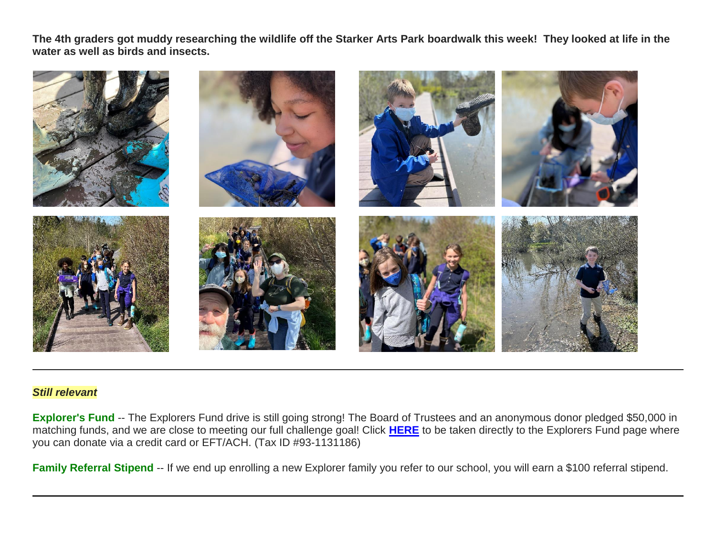**The 4th graders got muddy researching the wildlife off the Starker Arts Park boardwalk this week! They looked at life in the water as well as birds and insects.** 



#### *Still relevant*

**Explorer's Fund** -- The Explorers Fund drive is still going strong! The Board of Trustees and an anonymous donor pledged \$50,000 in matching funds, and we are close to meeting our full challenge goal! Click **[HERE](http://link.mystudentsprogress.com/ls/click?upn=5XDbAd9r0ovG7GZusFBG8PaUF78UqItDelTGdwk7Y5YuTzHCPAjU3puEFCesf3czmLI6pjYvXrYopLnNSPnw-2Fg-3D-3D47rF_1PndbFfBoQGSZbxwXHHEexw3B2F0fG-2BUmuXm6a-2BX-2Bzs7knXmgUMj8nOJSugvqG2oYnLqjz5ScUe5TxwE3OqVCM73oB61xIty-2B4N8c0ls9wwTlLX7rp1LPlF3SrGr0DfPupKd02M7Z21gtDY4I6IgTmBtvV0pz57-2Bltdn8dLaNxrK-2Bq9PqFaM9of6dD54BvgCow3khRMYppAbGNX2tCxo-2FsKTbZzAlhX-2Ft0cn-2FH7Rq-2FMXzcYNBmiv7Fkcz7RgqrKRcfg-2FWX24lAUn0RMtO27SjRxfODSanfy6-2F34qPpn8bWIX5tOVFHgtBjl-2B0aaC1FVyItrsWxpdO90868p133G4fSgmOLePD2R7TXMf9qeaguCB4N-2FRvfaJRnZMIS9V0i7TyNs92hH0zwL57OmSnYLCUxUQxpaBJoiG-2Bxh0T-2FrGL3wi2SnI4E8zn-2Byf13T0PoPy)** to be taken directly to the Explorers Fund page where you can donate via a credit card or EFT/ACH. (Tax ID #93-1131186)

Family Referral Stipend -- If we end up enrolling a new Explorer family you refer to our school, you will earn a \$100 referral stipend.